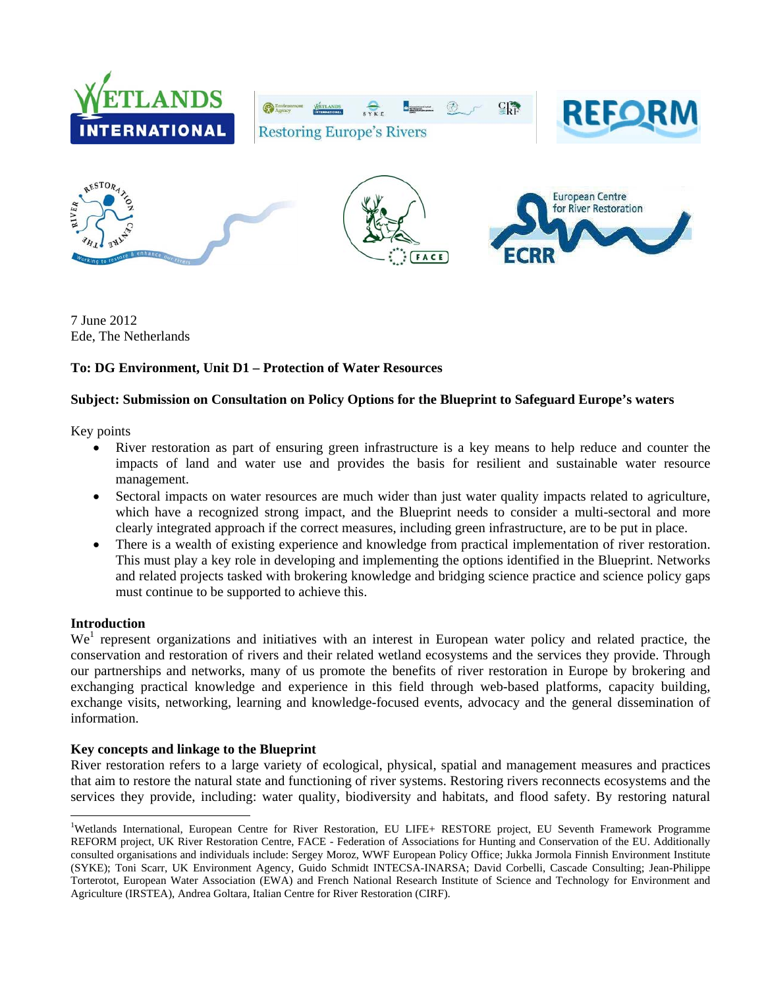

7 June 2012 Ede, The Netherlands

# **To: DG Environment, Unit D1 – Protection of Water Resources**

## **Subject: Submission on Consultation on Policy Options for the Blueprint to Safeguard Europe's waters**

Key points

- River restoration as part of ensuring green infrastructure is a key means to help reduce and counter the impacts of land and water use and provides the basis for resilient and sustainable water resource management.
- Sectoral impacts on water resources are much wider than just water quality impacts related to agriculture, which have a recognized strong impact, and the Blueprint needs to consider a multi-sectoral and more clearly integrated approach if the correct measures, including green infrastructure, are to be put in place.
- There is a wealth of existing experience and knowledge from practical implementation of river restoration. This must play a key role in developing and implementing the options identified in the Blueprint. Networks and related projects tasked with brokering knowledge and bridging science practice and science policy gaps must continue to be supported to achieve this.

### **Introduction**

 $\overline{a}$ 

We<sup>1</sup> represent organizations and initiatives with an interest in European water policy and related practice, the conservation and restoration of rivers and their related wetland ecosystems and the services they provide. Through our partnerships and networks, many of us promote the benefits of river restoration in Europe by brokering and exchanging practical knowledge and experience in this field through web-based platforms, capacity building, exchange visits, networking, learning and knowledge-focused events, advocacy and the general dissemination of information.

# **Key concepts and linkage to the Blueprint**

River restoration refers to a large variety of ecological, physical, spatial and management measures and practices that aim to restore the natural state and functioning of river systems. Restoring rivers reconnects ecosystems and the services they provide, including: water quality, biodiversity and habitats, and flood safety. By restoring natural

<sup>&</sup>lt;sup>1</sup>Wetlands International, European Centre for River Restoration, EU LIFE+ RESTORE project, EU Seventh Framework Programme REFORM project, UK River Restoration Centre, FACE - Federation of Associations for Hunting and Conservation of the EU. Additionally consulted organisations and individuals include: Sergey Moroz, WWF European Policy Office; Jukka Jormola Finnish Environment Institute (SYKE); Toni Scarr, UK Environment Agency, Guido Schmidt INTECSA-INARSA; David Corbelli, Cascade Consulting; Jean-Philippe Torterotot, European Water Association (EWA) and French National Research Institute of Science and Technology for Environment and Agriculture (IRSTEA), Andrea Goltara, Italian Centre for River Restoration (CIRF).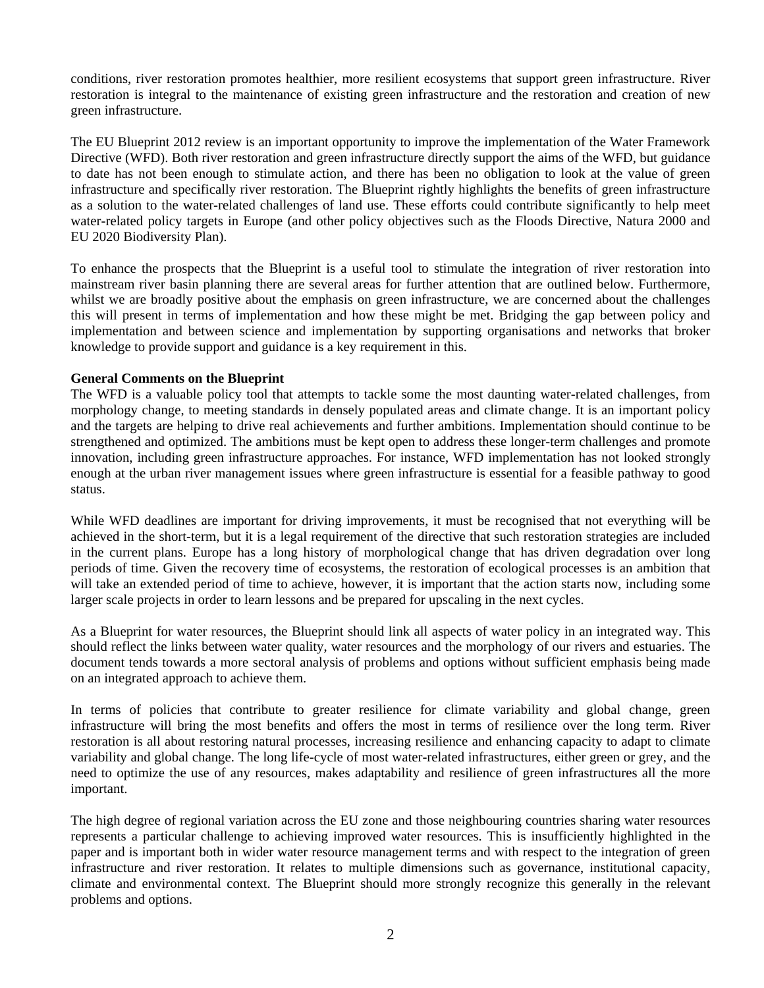conditions, river restoration promotes healthier, more resilient ecosystems that support green infrastructure. River restoration is integral to the maintenance of existing green infrastructure and the restoration and creation of new green infrastructure.

The EU Blueprint 2012 review is an important opportunity to improve the implementation of the Water Framework Directive (WFD). Both river restoration and green infrastructure directly support the aims of the WFD, but guidance to date has not been enough to stimulate action, and there has been no obligation to look at the value of green infrastructure and specifically river restoration. The Blueprint rightly highlights the benefits of green infrastructure as a solution to the water-related challenges of land use. These efforts could contribute significantly to help meet water-related policy targets in Europe (and other policy objectives such as the Floods Directive, Natura 2000 and EU 2020 Biodiversity Plan).

To enhance the prospects that the Blueprint is a useful tool to stimulate the integration of river restoration into mainstream river basin planning there are several areas for further attention that are outlined below. Furthermore, whilst we are broadly positive about the emphasis on green infrastructure, we are concerned about the challenges this will present in terms of implementation and how these might be met. Bridging the gap between policy and implementation and between science and implementation by supporting organisations and networks that broker knowledge to provide support and guidance is a key requirement in this.

## **General Comments on the Blueprint**

The WFD is a valuable policy tool that attempts to tackle some the most daunting water-related challenges, from morphology change, to meeting standards in densely populated areas and climate change. It is an important policy and the targets are helping to drive real achievements and further ambitions. Implementation should continue to be strengthened and optimized. The ambitions must be kept open to address these longer-term challenges and promote innovation, including green infrastructure approaches. For instance, WFD implementation has not looked strongly enough at the urban river management issues where green infrastructure is essential for a feasible pathway to good status.

While WFD deadlines are important for driving improvements, it must be recognised that not everything will be achieved in the short-term, but it is a legal requirement of the directive that such restoration strategies are included in the current plans. Europe has a long history of morphological change that has driven degradation over long periods of time. Given the recovery time of ecosystems, the restoration of ecological processes is an ambition that will take an extended period of time to achieve, however, it is important that the action starts now, including some larger scale projects in order to learn lessons and be prepared for upscaling in the next cycles.

As a Blueprint for water resources, the Blueprint should link all aspects of water policy in an integrated way. This should reflect the links between water quality, water resources and the morphology of our rivers and estuaries. The document tends towards a more sectoral analysis of problems and options without sufficient emphasis being made on an integrated approach to achieve them.

In terms of policies that contribute to greater resilience for climate variability and global change, green infrastructure will bring the most benefits and offers the most in terms of resilience over the long term. River restoration is all about restoring natural processes, increasing resilience and enhancing capacity to adapt to climate variability and global change. The long life-cycle of most water-related infrastructures, either green or grey, and the need to optimize the use of any resources, makes adaptability and resilience of green infrastructures all the more important.

The high degree of regional variation across the EU zone and those neighbouring countries sharing water resources represents a particular challenge to achieving improved water resources. This is insufficiently highlighted in the paper and is important both in wider water resource management terms and with respect to the integration of green infrastructure and river restoration. It relates to multiple dimensions such as governance, institutional capacity, climate and environmental context. The Blueprint should more strongly recognize this generally in the relevant problems and options.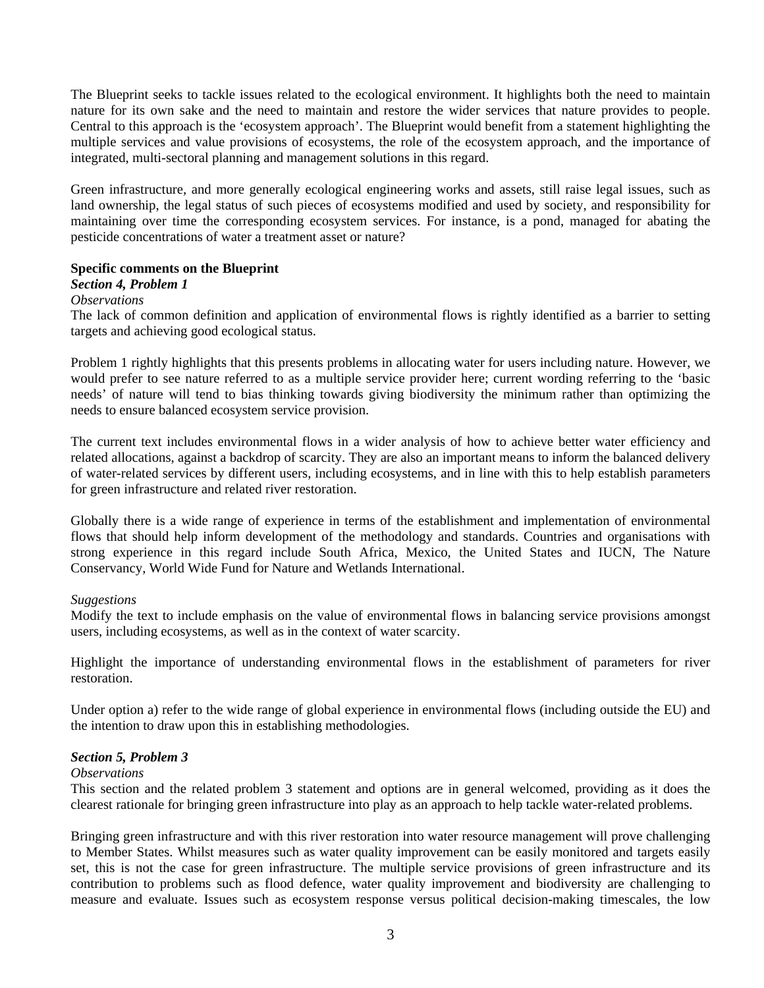The Blueprint seeks to tackle issues related to the ecological environment. It highlights both the need to maintain nature for its own sake and the need to maintain and restore the wider services that nature provides to people. Central to this approach is the 'ecosystem approach'. The Blueprint would benefit from a statement highlighting the multiple services and value provisions of ecosystems, the role of the ecosystem approach, and the importance of integrated, multi-sectoral planning and management solutions in this regard.

Green infrastructure, and more generally ecological engineering works and assets, still raise legal issues, such as land ownership, the legal status of such pieces of ecosystems modified and used by society, and responsibility for maintaining over time the corresponding ecosystem services. For instance, is a pond, managed for abating the pesticide concentrations of water a treatment asset or nature?

## **Specific comments on the Blueprint**

# *Section 4, Problem 1*

#### *Observations*

The lack of common definition and application of environmental flows is rightly identified as a barrier to setting targets and achieving good ecological status.

Problem 1 rightly highlights that this presents problems in allocating water for users including nature. However, we would prefer to see nature referred to as a multiple service provider here; current wording referring to the 'basic needs' of nature will tend to bias thinking towards giving biodiversity the minimum rather than optimizing the needs to ensure balanced ecosystem service provision.

The current text includes environmental flows in a wider analysis of how to achieve better water efficiency and related allocations, against a backdrop of scarcity. They are also an important means to inform the balanced delivery of water-related services by different users, including ecosystems, and in line with this to help establish parameters for green infrastructure and related river restoration.

Globally there is a wide range of experience in terms of the establishment and implementation of environmental flows that should help inform development of the methodology and standards. Countries and organisations with strong experience in this regard include South Africa, Mexico, the United States and IUCN, The Nature Conservancy, World Wide Fund for Nature and Wetlands International.

## *Suggestions*

Modify the text to include emphasis on the value of environmental flows in balancing service provisions amongst users, including ecosystems, as well as in the context of water scarcity.

Highlight the importance of understanding environmental flows in the establishment of parameters for river restoration.

Under option a) refer to the wide range of global experience in environmental flows (including outside the EU) and the intention to draw upon this in establishing methodologies.

### *Section 5, Problem 3*

### *Observations*

This section and the related problem 3 statement and options are in general welcomed, providing as it does the clearest rationale for bringing green infrastructure into play as an approach to help tackle water-related problems.

Bringing green infrastructure and with this river restoration into water resource management will prove challenging to Member States. Whilst measures such as water quality improvement can be easily monitored and targets easily set, this is not the case for green infrastructure. The multiple service provisions of green infrastructure and its contribution to problems such as flood defence, water quality improvement and biodiversity are challenging to measure and evaluate. Issues such as ecosystem response versus political decision-making timescales, the low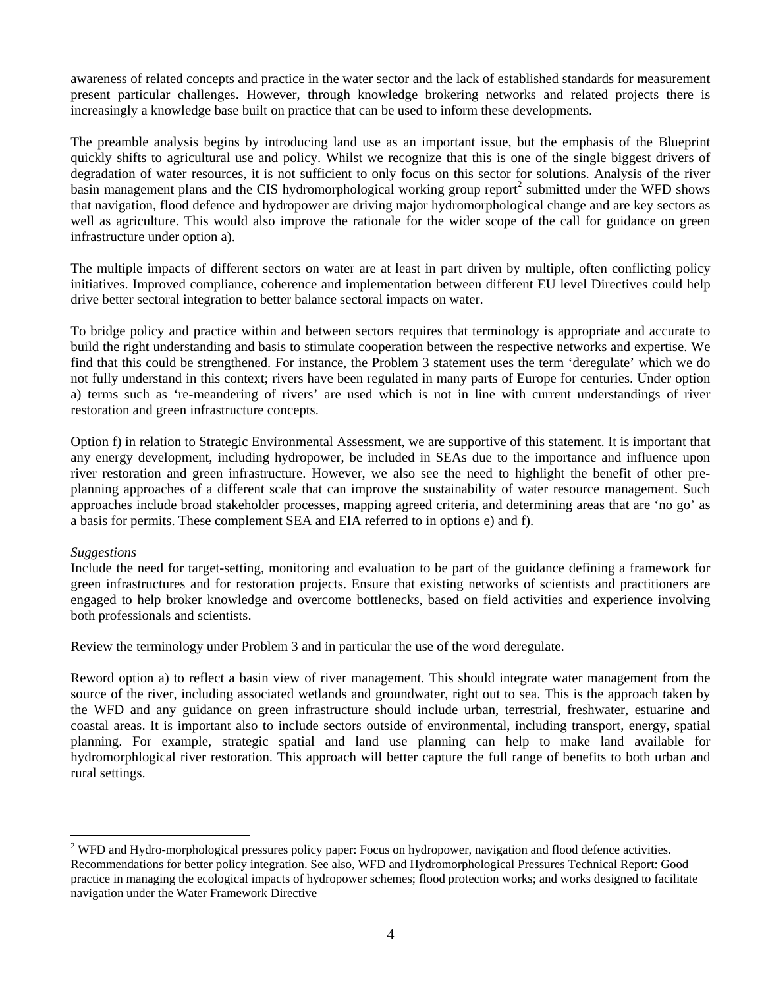awareness of related concepts and practice in the water sector and the lack of established standards for measurement present particular challenges. However, through knowledge brokering networks and related projects there is increasingly a knowledge base built on practice that can be used to inform these developments.

The preamble analysis begins by introducing land use as an important issue, but the emphasis of the Blueprint quickly shifts to agricultural use and policy. Whilst we recognize that this is one of the single biggest drivers of degradation of water resources, it is not sufficient to only focus on this sector for solutions. Analysis of the river basin management plans and the CIS hydromorphological working group report<sup>2</sup> submitted under the WFD shows that navigation, flood defence and hydropower are driving major hydromorphological change and are key sectors as well as agriculture. This would also improve the rationale for the wider scope of the call for guidance on green infrastructure under option a).

The multiple impacts of different sectors on water are at least in part driven by multiple, often conflicting policy initiatives. Improved compliance, coherence and implementation between different EU level Directives could help drive better sectoral integration to better balance sectoral impacts on water.

To bridge policy and practice within and between sectors requires that terminology is appropriate and accurate to build the right understanding and basis to stimulate cooperation between the respective networks and expertise. We find that this could be strengthened. For instance, the Problem 3 statement uses the term 'deregulate' which we do not fully understand in this context; rivers have been regulated in many parts of Europe for centuries. Under option a) terms such as 're-meandering of rivers' are used which is not in line with current understandings of river restoration and green infrastructure concepts.

Option f) in relation to Strategic Environmental Assessment, we are supportive of this statement. It is important that any energy development, including hydropower, be included in SEAs due to the importance and influence upon river restoration and green infrastructure. However, we also see the need to highlight the benefit of other preplanning approaches of a different scale that can improve the sustainability of water resource management. Such approaches include broad stakeholder processes, mapping agreed criteria, and determining areas that are 'no go' as a basis for permits. These complement SEA and EIA referred to in options e) and f).

# *Suggestions*

 $\overline{a}$ 

Include the need for target-setting, monitoring and evaluation to be part of the guidance defining a framework for green infrastructures and for restoration projects. Ensure that existing networks of scientists and practitioners are engaged to help broker knowledge and overcome bottlenecks, based on field activities and experience involving both professionals and scientists.

Review the terminology under Problem 3 and in particular the use of the word deregulate.

Reword option a) to reflect a basin view of river management. This should integrate water management from the source of the river, including associated wetlands and groundwater, right out to sea. This is the approach taken by the WFD and any guidance on green infrastructure should include urban, terrestrial, freshwater, estuarine and coastal areas. It is important also to include sectors outside of environmental, including transport, energy, spatial planning. For example, strategic spatial and land use planning can help to make land available for hydromorphlogical river restoration. This approach will better capture the full range of benefits to both urban and rural settings.

 $2$  WFD and Hydro-morphological pressures policy paper: Focus on hydropower, navigation and flood defence activities. Recommendations for better policy integration. See also, WFD and Hydromorphological Pressures Technical Report: Good practice in managing the ecological impacts of hydropower schemes; flood protection works; and works designed to facilitate navigation under the Water Framework Directive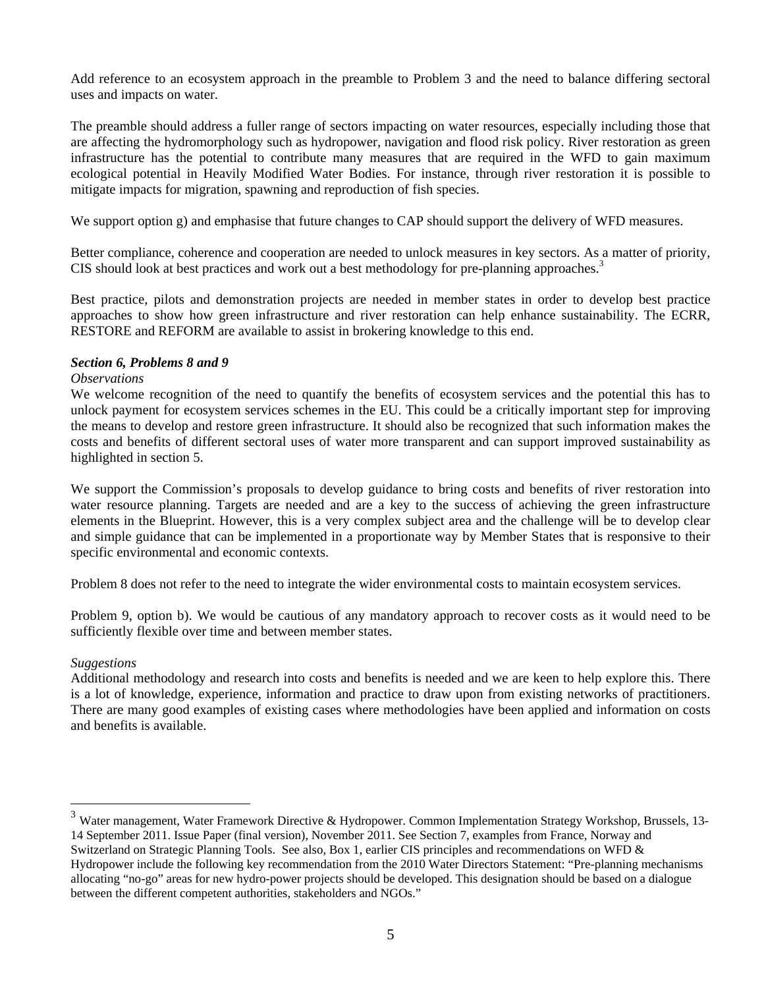Add reference to an ecosystem approach in the preamble to Problem 3 and the need to balance differing sectoral uses and impacts on water.

The preamble should address a fuller range of sectors impacting on water resources, especially including those that are affecting the hydromorphology such as hydropower, navigation and flood risk policy. River restoration as green infrastructure has the potential to contribute many measures that are required in the WFD to gain maximum ecological potential in Heavily Modified Water Bodies. For instance, through river restoration it is possible to mitigate impacts for migration, spawning and reproduction of fish species.

We support option g) and emphasise that future changes to CAP should support the delivery of WFD measures.

Better compliance, coherence and cooperation are needed to unlock measures in key sectors. As a matter of priority, CIS should look at best practices and work out a best methodology for pre-planning approaches.<sup>3</sup>

Best practice, pilots and demonstration projects are needed in member states in order to develop best practice approaches to show how green infrastructure and river restoration can help enhance sustainability. The ECRR, RESTORE and REFORM are available to assist in brokering knowledge to this end.

## *Section 6, Problems 8 and 9*

### *Observations*

We welcome recognition of the need to quantify the benefits of ecosystem services and the potential this has to unlock payment for ecosystem services schemes in the EU. This could be a critically important step for improving the means to develop and restore green infrastructure. It should also be recognized that such information makes the costs and benefits of different sectoral uses of water more transparent and can support improved sustainability as highlighted in section 5.

We support the Commission's proposals to develop guidance to bring costs and benefits of river restoration into water resource planning. Targets are needed and are a key to the success of achieving the green infrastructure elements in the Blueprint. However, this is a very complex subject area and the challenge will be to develop clear and simple guidance that can be implemented in a proportionate way by Member States that is responsive to their specific environmental and economic contexts.

Problem 8 does not refer to the need to integrate the wider environmental costs to maintain ecosystem services.

Problem 9, option b). We would be cautious of any mandatory approach to recover costs as it would need to be sufficiently flexible over time and between member states.

# *Suggestions*

 $\overline{a}$ 

Additional methodology and research into costs and benefits is needed and we are keen to help explore this. There is a lot of knowledge, experience, information and practice to draw upon from existing networks of practitioners. There are many good examples of existing cases where methodologies have been applied and information on costs and benefits is available.

 $3$  Water management, Water Framework Directive & Hydropower. Common Implementation Strategy Workshop, Brussels, 13-14 September 2011. Issue Paper (final version), November 2011. See Section 7, examples from France, Norway and Switzerland on Strategic Planning Tools. See also, Box 1, earlier CIS principles and recommendations on WFD & Hydropower include the following key recommendation from the 2010 Water Directors Statement: "Pre-planning mechanisms allocating "no-go" areas for new hydro-power projects should be developed. This designation should be based on a dialogue between the different competent authorities, stakeholders and NGOs."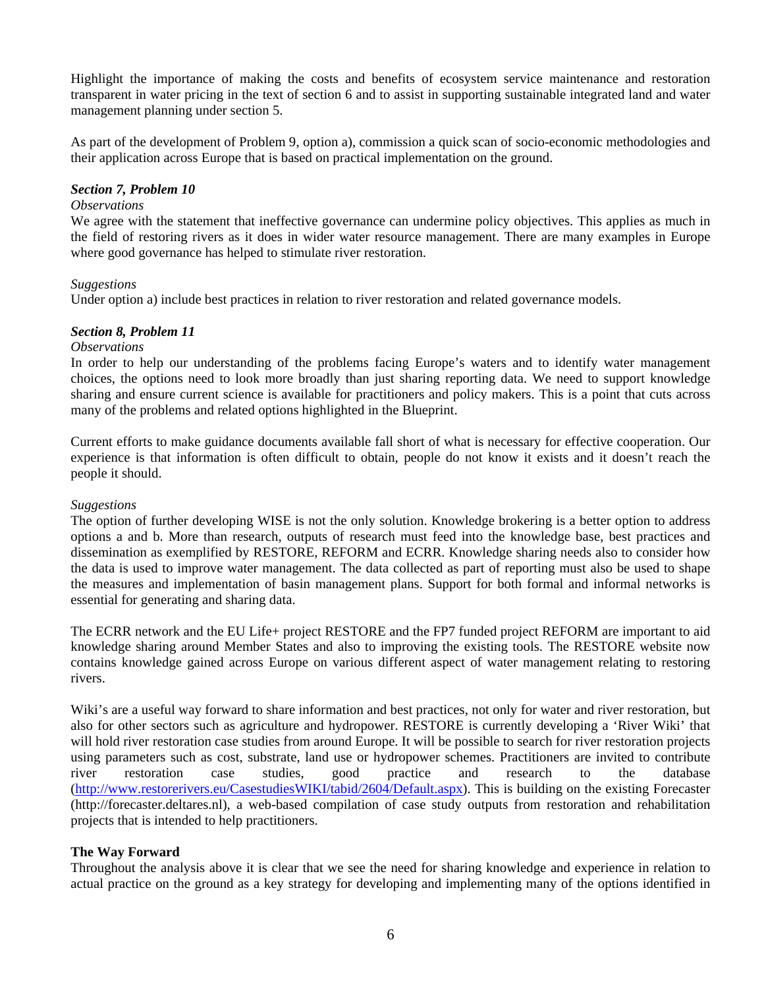Highlight the importance of making the costs and benefits of ecosystem service maintenance and restoration transparent in water pricing in the text of section 6 and to assist in supporting sustainable integrated land and water management planning under section 5.

As part of the development of Problem 9, option a), commission a quick scan of socio-economic methodologies and their application across Europe that is based on practical implementation on the ground.

# *Section 7, Problem 10*

## *Observations*

We agree with the statement that ineffective governance can undermine policy objectives. This applies as much in the field of restoring rivers as it does in wider water resource management. There are many examples in Europe where good governance has helped to stimulate river restoration.

# *Suggestions*

Under option a) include best practices in relation to river restoration and related governance models.

## *Section 8, Problem 11*

### *Observations*

In order to help our understanding of the problems facing Europe's waters and to identify water management choices, the options need to look more broadly than just sharing reporting data. We need to support knowledge sharing and ensure current science is available for practitioners and policy makers. This is a point that cuts across many of the problems and related options highlighted in the Blueprint.

Current efforts to make guidance documents available fall short of what is necessary for effective cooperation. Our experience is that information is often difficult to obtain, people do not know it exists and it doesn't reach the people it should.

### *Suggestions*

The option of further developing WISE is not the only solution. Knowledge brokering is a better option to address options a and b. More than research, outputs of research must feed into the knowledge base, best practices and dissemination as exemplified by RESTORE, REFORM and ECRR. Knowledge sharing needs also to consider how the data is used to improve water management. The data collected as part of reporting must also be used to shape the measures and implementation of basin management plans. Support for both formal and informal networks is essential for generating and sharing data.

The ECRR network and the EU Life+ project RESTORE and the FP7 funded project REFORM are important to aid knowledge sharing around Member States and also to improving the existing tools. The RESTORE website now contains knowledge gained across Europe on various different aspect of water management relating to restoring rivers.

Wiki's are a useful way forward to share information and best practices, not only for water and river restoration, but also for other sectors such as agriculture and hydropower. RESTORE is currently developing a 'River Wiki' that will hold river restoration case studies from around Europe. It will be possible to search for river restoration projects using parameters such as cost, substrate, land use or hydropower schemes. Practitioners are invited to contribute river restoration case studies, good practice and research to the database (http://www.restorerivers.eu/CasestudiesWIKI/tabid/2604/Default.aspx). This is building on the existing Forecaster (http://forecaster.deltares.nl), a web-based compilation of case study outputs from restoration and rehabilitation projects that is intended to help practitioners.

### **The Way Forward**

Throughout the analysis above it is clear that we see the need for sharing knowledge and experience in relation to actual practice on the ground as a key strategy for developing and implementing many of the options identified in